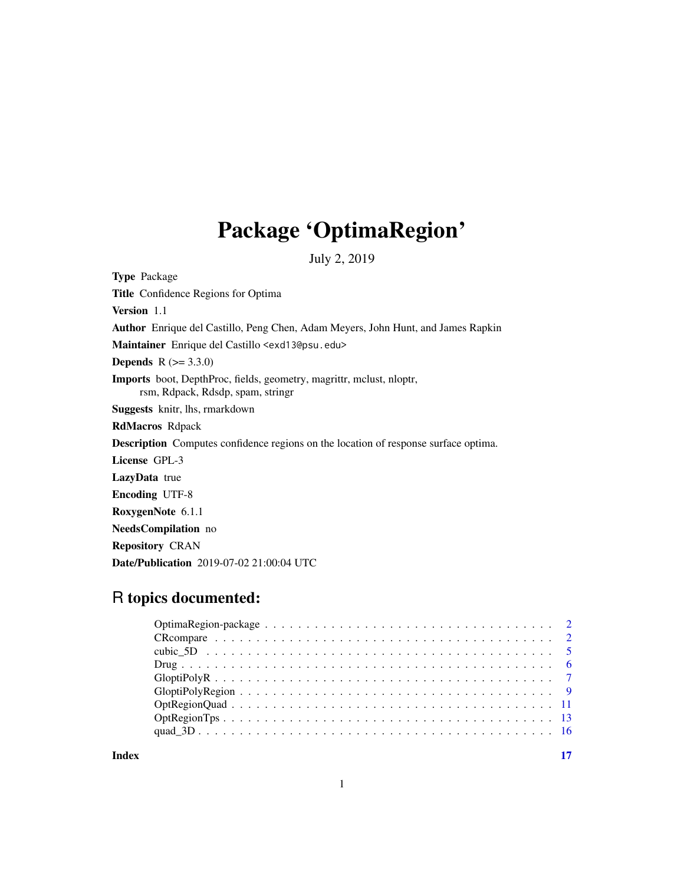## Package 'OptimaRegion'

July 2, 2019

Type Package Title Confidence Regions for Optima Version 1.1 Author Enrique del Castillo, Peng Chen, Adam Meyers, John Hunt, and James Rapkin Maintainer Enrique del Castillo <exd13@psu.edu> **Depends** R  $(>= 3.3.0)$ Imports boot, DepthProc, fields, geometry, magrittr, mclust, nloptr, rsm, Rdpack, Rdsdp, spam, stringr Suggests knitr, lhs, rmarkdown RdMacros Rdpack Description Computes confidence regions on the location of response surface optima. License GPL-3 LazyData true Encoding UTF-8 RoxygenNote 6.1.1 NeedsCompilation no Repository CRAN Date/Publication 2019-07-02 21:00:04 UTC

## R topics documented:

| Index |  |
|-------|--|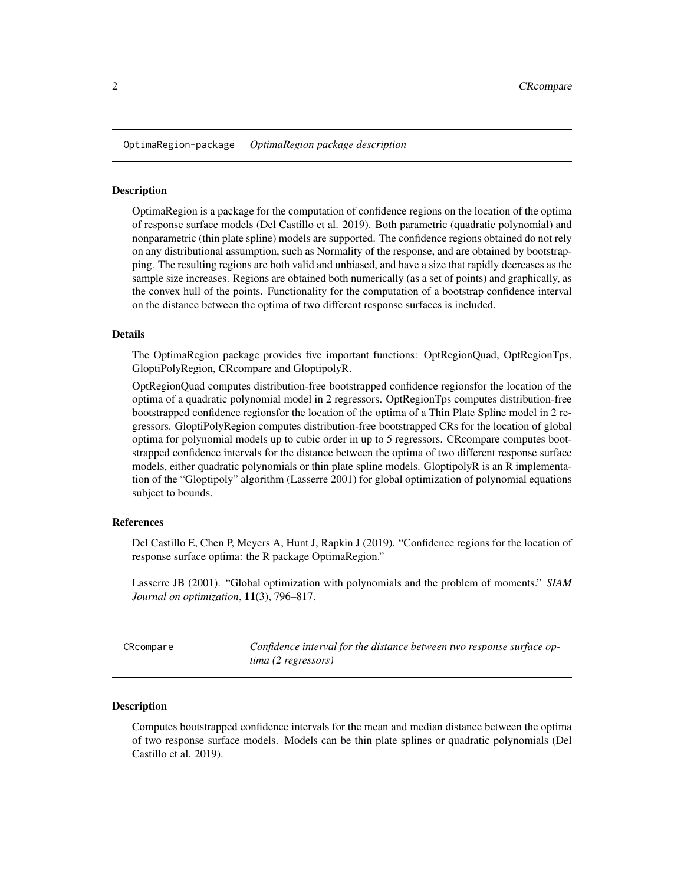<span id="page-1-0"></span>OptimaRegion-package *OptimaRegion package description*

## Description

OptimaRegion is a package for the computation of confidence regions on the location of the optima of response surface models (Del Castillo et al. 2019). Both parametric (quadratic polynomial) and nonparametric (thin plate spline) models are supported. The confidence regions obtained do not rely on any distributional assumption, such as Normality of the response, and are obtained by bootstrapping. The resulting regions are both valid and unbiased, and have a size that rapidly decreases as the sample size increases. Regions are obtained both numerically (as a set of points) and graphically, as the convex hull of the points. Functionality for the computation of a bootstrap confidence interval on the distance between the optima of two different response surfaces is included.

#### Details

The OptimaRegion package provides five important functions: OptRegionQuad, OptRegionTps, GloptiPolyRegion, CRcompare and GloptipolyR.

OptRegionQuad computes distribution-free bootstrapped confidence regionsfor the location of the optima of a quadratic polynomial model in 2 regressors. OptRegionTps computes distribution-free bootstrapped confidence regionsfor the location of the optima of a Thin Plate Spline model in 2 regressors. GloptiPolyRegion computes distribution-free bootstrapped CRs for the location of global optima for polynomial models up to cubic order in up to 5 regressors. CRcompare computes bootstrapped confidence intervals for the distance between the optima of two different response surface models, either quadratic polynomials or thin plate spline models. GloptipolyR is an R implementation of the "Gloptipoly" algorithm (Lasserre 2001) for global optimization of polynomial equations subject to bounds.

## References

Del Castillo E, Chen P, Meyers A, Hunt J, Rapkin J (2019). "Confidence regions for the location of response surface optima: the R package OptimaRegion."

Lasserre JB (2001). "Global optimization with polynomials and the problem of moments." *SIAM Journal on optimization*, 11(3), 796–817.

CRcompare *Confidence interval for the distance between two response surface optima (2 regressors)*

## Description

Computes bootstrapped confidence intervals for the mean and median distance between the optima of two response surface models. Models can be thin plate splines or quadratic polynomials (Del Castillo et al. 2019).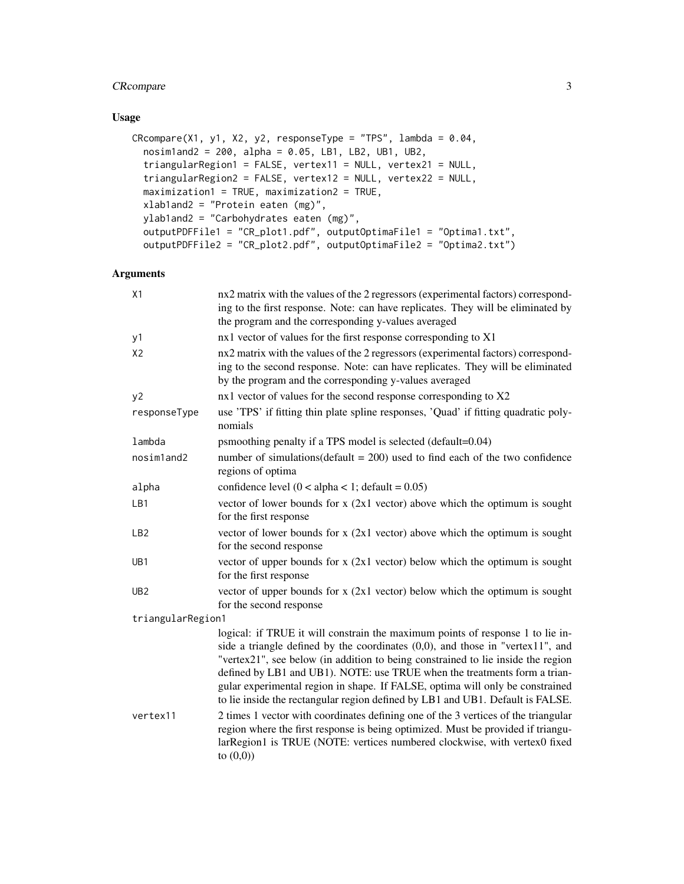## CRcompare 3

## Usage

```
CRcompare(X1, y1, X2, y2, responseType = "TPS", lambda = 0.04,
 nosim1and2 = 200, alpha = 0.05, LB1, LB2, UB1, UB2,
 triangularRegion1 = FALSE, vertex11 = NULL, vertex21 = NULL,
  triangularRegion2 = FALSE, vertex12 = NULL, vertex22 = NULL,
 maximization1 = TRUE, maximization2 = TRUE,
 xlab1and2 = "Protein eaten (mg)",
 ylab1and2 = "Carbohydrates eaten (mg)",
  outputPDFFile1 = "CR_plot1.pdf", outputOptimaFile1 = "Optima1.txt",
 outputPDFFile2 = "CR_plot2.pdf", outputOptimaFile2 = "Optima2.txt")
```
## Arguments

| X1                | nx2 matrix with the values of the 2 regressors (experimental factors) correspond-<br>ing to the first response. Note: can have replicates. They will be eliminated by<br>the program and the corresponding y-values averaged                                                                                                                                                                                                                                                                            |
|-------------------|---------------------------------------------------------------------------------------------------------------------------------------------------------------------------------------------------------------------------------------------------------------------------------------------------------------------------------------------------------------------------------------------------------------------------------------------------------------------------------------------------------|
| y1                | nx1 vector of values for the first response corresponding to X1                                                                                                                                                                                                                                                                                                                                                                                                                                         |
| X <sub>2</sub>    | nx2 matrix with the values of the 2 regressors (experimental factors) correspond-<br>ing to the second response. Note: can have replicates. They will be eliminated<br>by the program and the corresponding y-values averaged                                                                                                                                                                                                                                                                           |
| y2                | nx1 vector of values for the second response corresponding to X2                                                                                                                                                                                                                                                                                                                                                                                                                                        |
| responseType      | use 'TPS' if fitting thin plate spline responses, 'Quad' if fitting quadratic poly-<br>nomials                                                                                                                                                                                                                                                                                                                                                                                                          |
| lambda            | psmoothing penalty if a TPS model is selected (default=0.04)                                                                                                                                                                                                                                                                                                                                                                                                                                            |
| nosimland2        | number of simulations(default = $200$ ) used to find each of the two confidence<br>regions of optima                                                                                                                                                                                                                                                                                                                                                                                                    |
| alpha             | confidence level $(0 < alpha < 1$ ; default = 0.05)                                                                                                                                                                                                                                                                                                                                                                                                                                                     |
| LB1               | vector of lower bounds for $x$ (2x1 vector) above which the optimum is sought<br>for the first response                                                                                                                                                                                                                                                                                                                                                                                                 |
| LB <sub>2</sub>   | vector of lower bounds for $x$ (2x1 vector) above which the optimum is sought<br>for the second response                                                                                                                                                                                                                                                                                                                                                                                                |
| UB <sub>1</sub>   | vector of upper bounds for $x$ (2x1 vector) below which the optimum is sought<br>for the first response                                                                                                                                                                                                                                                                                                                                                                                                 |
| UB <sub>2</sub>   | vector of upper bounds for $x$ (2x1 vector) below which the optimum is sought<br>for the second response                                                                                                                                                                                                                                                                                                                                                                                                |
| triangularRegion1 |                                                                                                                                                                                                                                                                                                                                                                                                                                                                                                         |
|                   | logical: if TRUE it will constrain the maximum points of response 1 to lie in-<br>side a triangle defined by the coordinates $(0,0)$ , and those in "vertex11", and<br>"vertex21", see below (in addition to being constrained to lie inside the region<br>defined by LB1 and UB1). NOTE: use TRUE when the treatments form a trian-<br>gular experimental region in shape. If FALSE, optima will only be constrained<br>to lie inside the rectangular region defined by LB1 and UB1. Default is FALSE. |
| vertex11          | 2 times 1 vector with coordinates defining one of the 3 vertices of the triangular<br>region where the first response is being optimized. Must be provided if triangu-<br>larRegion1 is TRUE (NOTE: vertices numbered clockwise, with vertex0 fixed<br>to $(0,0)$                                                                                                                                                                                                                                       |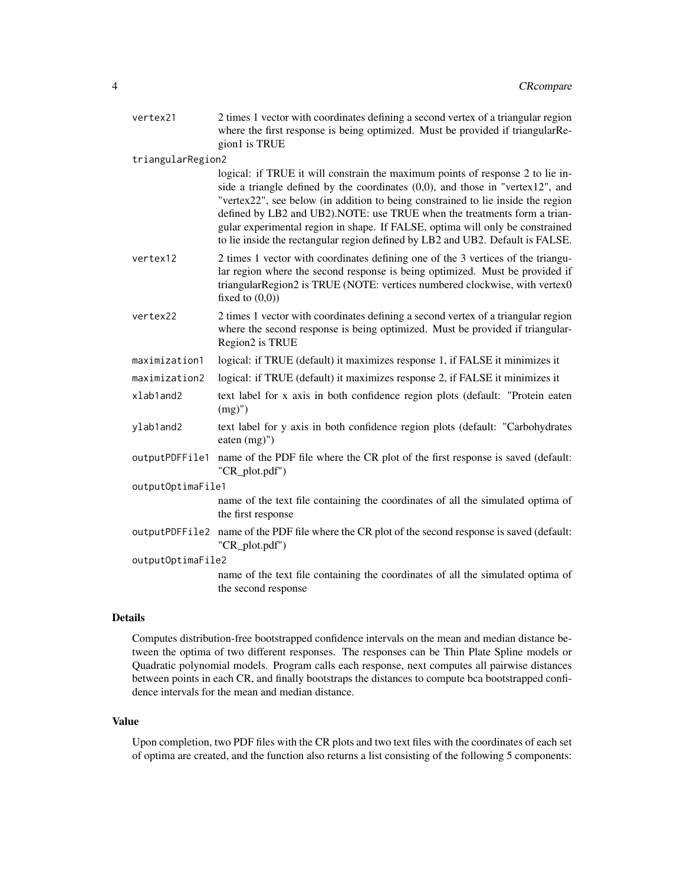| vertex21          | 2 times 1 vector with coordinates defining a second vertex of a triangular region<br>where the first response is being optimized. Must be provided if triangularRe-<br>gion1 is TRUE                                                                                                                                                                                                                                                                                                                   |  |
|-------------------|--------------------------------------------------------------------------------------------------------------------------------------------------------------------------------------------------------------------------------------------------------------------------------------------------------------------------------------------------------------------------------------------------------------------------------------------------------------------------------------------------------|--|
| triangularRegion2 |                                                                                                                                                                                                                                                                                                                                                                                                                                                                                                        |  |
|                   | logical: if TRUE it will constrain the maximum points of response 2 to lie in-<br>side a triangle defined by the coordinates $(0,0)$ , and those in "vertex12", and<br>"vertex22", see below (in addition to being constrained to lie inside the region<br>defined by LB2 and UB2).NOTE: use TRUE when the treatments form a trian-<br>gular experimental region in shape. If FALSE, optima will only be constrained<br>to lie inside the rectangular region defined by LB2 and UB2. Default is FALSE. |  |
| vertex12          | 2 times 1 vector with coordinates defining one of the 3 vertices of the triangu-<br>lar region where the second response is being optimized. Must be provided if<br>triangularRegion2 is TRUE (NOTE: vertices numbered clockwise, with vertex0<br>fixed to $(0,0)$                                                                                                                                                                                                                                     |  |
| vertex22          | 2 times 1 vector with coordinates defining a second vertex of a triangular region<br>where the second response is being optimized. Must be provided if triangular-<br>Region2 is TRUE                                                                                                                                                                                                                                                                                                                  |  |
| maximization1     | logical: if TRUE (default) it maximizes response 1, if FALSE it minimizes it                                                                                                                                                                                                                                                                                                                                                                                                                           |  |
| maximization2     | logical: if TRUE (default) it maximizes response 2, if FALSE it minimizes it                                                                                                                                                                                                                                                                                                                                                                                                                           |  |
| xlab1and2         | text label for x axis in both confidence region plots (default: "Protein eaten<br>$(mg)$ ")                                                                                                                                                                                                                                                                                                                                                                                                            |  |
| ylab1and2         | text label for y axis in both confidence region plots (default: "Carbohydrates<br>eaten $(mg)$ ")                                                                                                                                                                                                                                                                                                                                                                                                      |  |
| outputPDFFile1    | name of the PDF file where the CR plot of the first response is saved (default:<br>"CR_plot.pdf")                                                                                                                                                                                                                                                                                                                                                                                                      |  |
| outputOptimaFile1 |                                                                                                                                                                                                                                                                                                                                                                                                                                                                                                        |  |
|                   | name of the text file containing the coordinates of all the simulated optima of<br>the first response                                                                                                                                                                                                                                                                                                                                                                                                  |  |
| outputPDFFile2    | name of the PDF file where the CR plot of the second response is saved (default:<br>"CR_plot.pdf")                                                                                                                                                                                                                                                                                                                                                                                                     |  |
| outputOptimaFile2 |                                                                                                                                                                                                                                                                                                                                                                                                                                                                                                        |  |
|                   | name of the text file containing the coordinates of all the simulated optima of<br>the second response                                                                                                                                                                                                                                                                                                                                                                                                 |  |

## Details

Computes distribution-free bootstrapped confidence intervals on the mean and median distance between the optima of two different responses. The responses can be Thin Plate Spline models or Quadratic polynomial models. Program calls each response, next computes all pairwise distances between points in each CR, and finally bootstraps the distances to compute bca bootstrapped confidence intervals for the mean and median distance.

## Value

Upon completion, two PDF files with the CR plots and two text files with the coordinates of each set of optima are created, and the function also returns a list consisting of the following 5 components: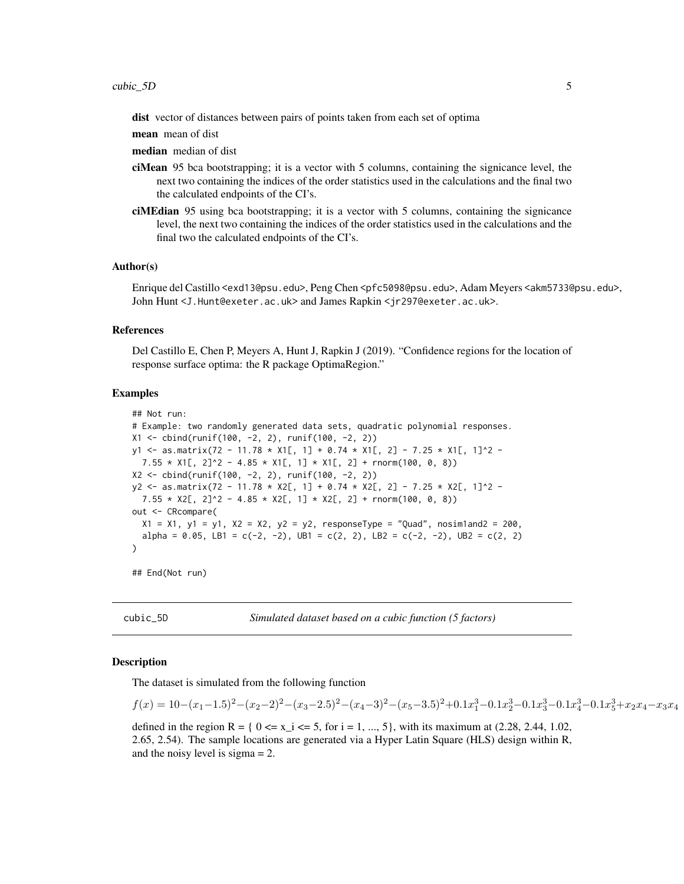<span id="page-4-0"></span>dist vector of distances between pairs of points taken from each set of optima

mean mean of dist

median median of dist

- ciMean 95 bca bootstrapping; it is a vector with 5 columns, containing the signicance level, the next two containing the indices of the order statistics used in the calculations and the final two the calculated endpoints of the CI's.
- ciMEdian 95 using bca bootstrapping; it is a vector with 5 columns, containing the signicance level, the next two containing the indices of the order statistics used in the calculations and the final two the calculated endpoints of the CI's.

#### Author(s)

Enrique del Castillo <exd13@psu.edu>, Peng Chen <pfc5098@psu.edu>, Adam Meyers <akm5733@psu.edu>, John Hunt <J.Hunt@exeter.ac.uk> and James Rapkin <jr297@exeter.ac.uk>.

#### References

Del Castillo E, Chen P, Meyers A, Hunt J, Rapkin J (2019). "Confidence regions for the location of response surface optima: the R package OptimaRegion."

## Examples

```
## Not run:
# Example: two randomly generated data sets, quadratic polynomial responses.
X1 <- cbind(runif(100, -2, 2), runif(100, -2, 2))
y1 <- as.matrix(72 - 11.78 * X1[, 1] + 0.74 * X1[, 2] - 7.25 * X1[, 1]^2 -
  7.55 \times X1[, 2]^2 - 4.85 \star X1[, 1] \star X1[, 2] + rnorm(100, 0, 8))
X2 <- cbind(runif(100, -2, 2), runif(100, -2, 2))
y2 <- as.matrix(72 - 11.78 * X2[, 1] + 0.74 * X2[, 2] - 7.25 * X2[, 1]^2 -
  7.55 \times X2[, 2]^2 - 4.85 \times X2[, 1] \times X2[, 2] + rnorm(100, 0, 8))
out <- CRcompare(
  X1 = X1, Y1 = Y1, X2 = X2, Y2 = Y2, responseType = "Quad", nosim1and2 = 200,
  alpha = 0.05, LB1 = c(-2, -2), UB1 = c(2, 2), LB2 = c(-2, -2), UB2 = c(2, 2))
```
## End(Not run)

cubic\_5D *Simulated dataset based on a cubic function (5 factors)*

#### **Description**

The dataset is simulated from the following function

 $f(x) = 10 - (x_1 - 1.5)^2 - (x_2 - 2)^2 - (x_3 - 2.5)^2 - (x_4 - 3)^2 - (x_5 - 3.5)^2 + 0.1x_1^3 - 0.1x_2^3 - 0.1x_3^3 - 0.1x_4^3 - 0.1x_5^3 + x_2x_4 - x_3x_4$ 

defined in the region R = {  $0 \le x_i \le 5$ , for i = 1, ..., 5}, with its maximum at (2.28, 2.44, 1.02, 2.65, 2.54). The sample locations are generated via a Hyper Latin Square (HLS) design within R, and the noisy level is sigma = 2.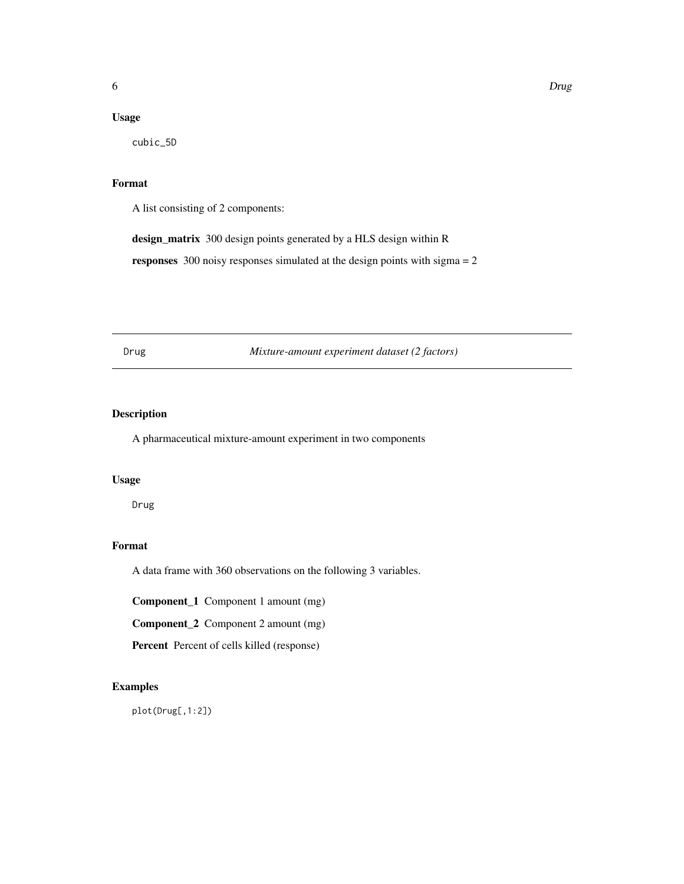## <span id="page-5-0"></span>Usage

cubic\_5D

## Format

A list consisting of 2 components:

design\_matrix 300 design points generated by a HLS design within R

responses 300 noisy responses simulated at the design points with sigma = 2

Drug *Mixture-amount experiment dataset (2 factors)*

## Description

A pharmaceutical mixture-amount experiment in two components

## Usage

Drug

## Format

A data frame with 360 observations on the following 3 variables.

Component\_1 Component 1 amount (mg)

Component\_2 Component 2 amount (mg)

Percent Percent of cells killed (response)

## Examples

plot(Drug[,1:2])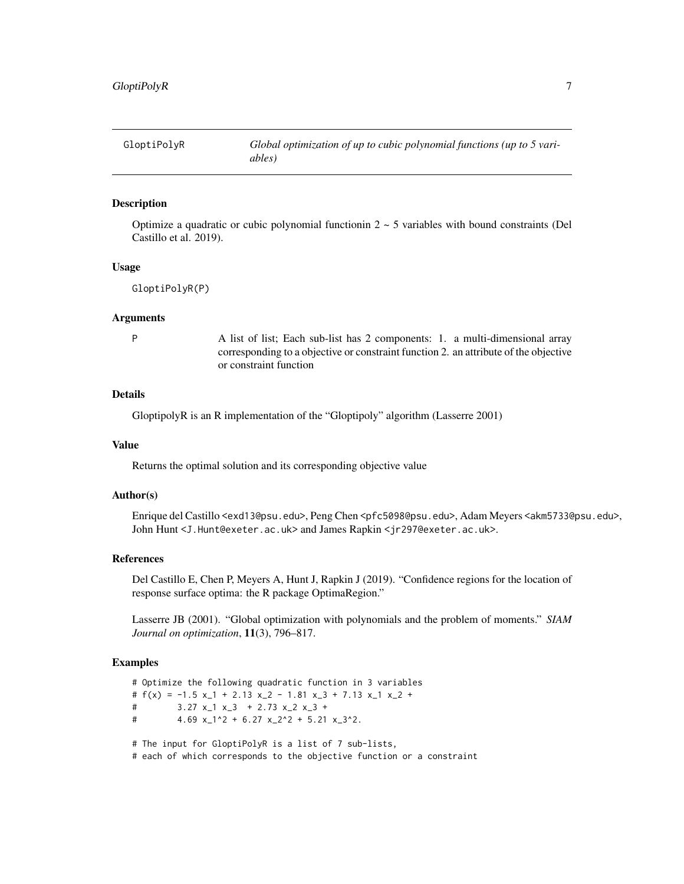<span id="page-6-0"></span>

## Description

Optimize a quadratic or cubic polynomial functionin  $2 \sim 5$  variables with bound constraints (Del Castillo et al. 2019).

#### Usage

```
GloptiPolyR(P)
```
#### Arguments

P A list of list; Each sub-list has 2 components: 1. a multi-dimensional array corresponding to a objective or constraint function 2. an attribute of the objective or constraint function

## Details

GloptipolyR is an R implementation of the "Gloptipoly" algorithm (Lasserre 2001)

#### Value

Returns the optimal solution and its corresponding objective value

## Author(s)

Enrique del Castillo <exd13@psu.edu>, Peng Chen <pfc5098@psu.edu>, Adam Meyers <akm5733@psu.edu>, John Hunt <J.Hunt@exeter.ac.uk> and James Rapkin <jr297@exeter.ac.uk>.

## References

Del Castillo E, Chen P, Meyers A, Hunt J, Rapkin J (2019). "Confidence regions for the location of response surface optima: the R package OptimaRegion."

Lasserre JB (2001). "Global optimization with polynomials and the problem of moments." *SIAM Journal on optimization*, 11(3), 796–817.

## Examples

# Optimize the following quadratic function in 3 variables #  $f(x) = -1.5 x_1 + 2.13 x_2 - 1.81 x_3 + 7.13 x_1 x_2 +$ # 3.27 x\_1 x\_3 + 2.73 x\_2 x\_3 + # 4.69  $x_1$ <sup>2</sup> + 6.27  $x_2$ <sup>2</sup> + 5.21  $x_3$ <sup>2</sup>. # The input for GloptiPolyR is a list of 7 sub-lists,

# each of which corresponds to the objective function or a constraint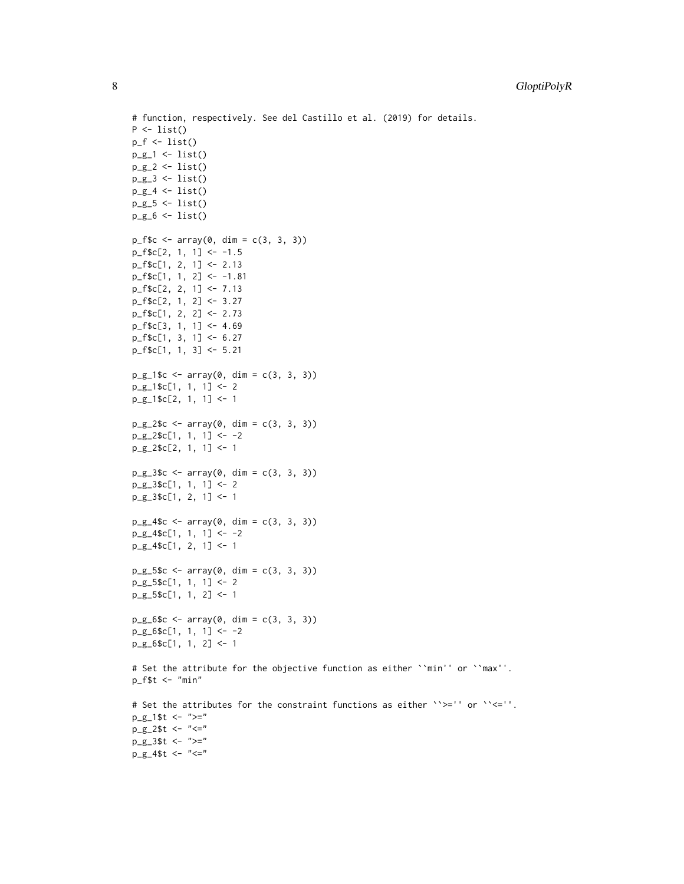```
# function, respectively. See del Castillo et al. (2019) for details.
P \leftarrow list()p_f \leftarrow list()p_g_1 \leftarrow list()p_{g_2^2} < -1ist()p_g_3 \leftarrow list()p_g_4 \leftarrow list()p_g_5 \leftarrow list()p_g_6 \leftarrow list()p_f$c <- array(0, dim = c(3, 3, 3))
p_f$c[2, 1, 1] <- -1.5
p_f$c[1, 2, 1] <- 2.13
p_f$c[1, 1, 2] <- -1.81
p_f$c[2, 2, 1] <- 7.13
p_f$c[2, 1, 2] <- 3.27
p_f$c[1, 2, 2] <- 2.73
p_f$c[3, 1, 1] <- 4.69
p_f$c[1, 3, 1] <- 6.27
p_f$c[1, 1, 3] <- 5.21
p_g_1$c <- array(0, dim = c(3, 3, 3))
p_g_1$c[1, 1, 1] <- 2
p_g_1$c[2, 1, 1] <- 1
p_g_22$c <- array(0, dim = c(3, 3, 3))
p_g_22$c[1, 1, 1] <- -2
p_g_2$c[2, 1, 1] <- 1
p_g_3$c <- array(0, dim = c(3, 3, 3))
p_g_3$c[1, 1, 1] <- 2
p_g_3$c[1, 2, 1] <- 1
p_g_4$c <- array(0, dim = c(3, 3, 3))
p_g_4$c[1, 1, 1] <- -2
p_g_4$c[1, 2, 1] <- 1
p_g_5$c <- array(0, dim = c(3, 3, 3))
p_g_{55c[1, 1, 1] < -2p_g_5$c[1, 1, 2] <- 1
p_g_6$c <- array(0, dim = c(3, 3, 3))
p_g_6$c[1, 1, 1] <- -2
p_g_6$c[1, 1, 2] <- 1
# Set the attribute for the objective function as either ``min'' or ``max''.
p_f$t <- "min"
# Set the attributes for the constraint functions as either ``>='' or ``<=''.
p_g_1$t <- ">="
p_g_2$t <- "<="
p_g_3$t <- ">="
p_g_4$t <- "<="
```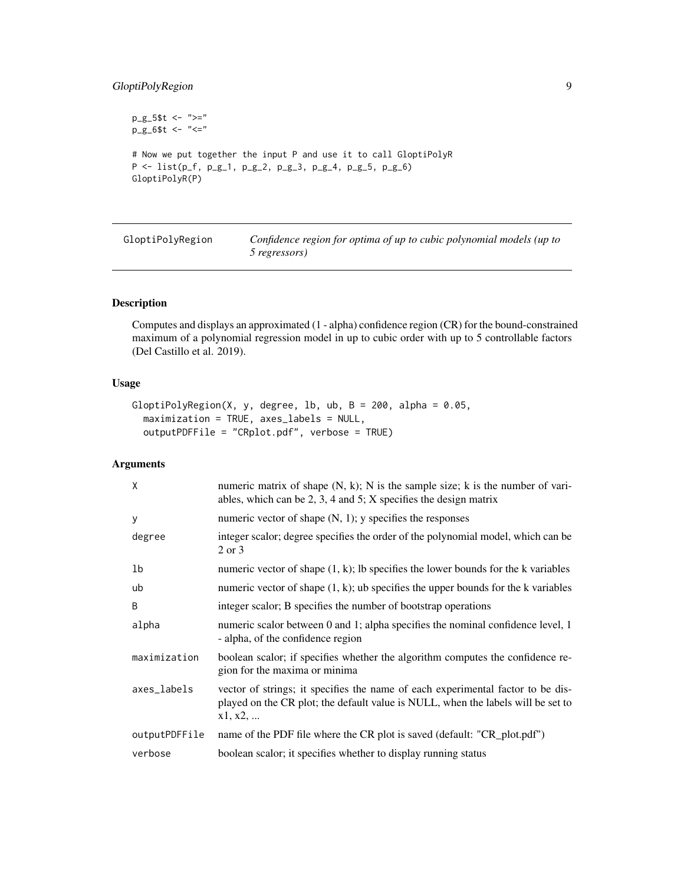## <span id="page-8-0"></span>GloptiPolyRegion 9

```
p_g_5$t <- ">="
p_g_6$t <- "<="
# Now we put together the input P and use it to call GloptiPolyR
P \leftarrow list(p_f, p_g_1, p_g_2, p_g_3, p_g_4, p_g_5, p_g_6)GloptiPolyR(P)
```
GloptiPolyRegion *Confidence region for optima of up to cubic polynomial models (up to 5 regressors)*

## Description

Computes and displays an approximated (1 - alpha) confidence region (CR) for the bound-constrained maximum of a polynomial regression model in up to cubic order with up to 5 controllable factors (Del Castillo et al. 2019).

## Usage

```
GloptiPolyRegion(X, y, degree, lb, ub, B = 200, alpha = 0.05,
 maximization = TRUE, axes_labels = NULL,
 outputPDFFile = "CRplot.pdf", verbose = TRUE)
```
## Arguments

| X             | numeric matrix of shape $(N, k)$ ; N is the sample size; k is the number of vari-<br>ables, which can be 2, 3, 4 and 5; $X$ specifies the design matrix                        |
|---------------|--------------------------------------------------------------------------------------------------------------------------------------------------------------------------------|
| У             | numeric vector of shape $(N, 1)$ ; y specifies the responses                                                                                                                   |
| degree        | integer scalor; degree specifies the order of the polynomial model, which can be<br>2 or 3                                                                                     |
| 1b            | numeric vector of shape $(1, k)$ ; Ib specifies the lower bounds for the k variables                                                                                           |
| ub            | numeric vector of shape $(1, k)$ ; ub specifies the upper bounds for the k variables                                                                                           |
| B             | integer scalor; B specifies the number of bootstrap operations                                                                                                                 |
| alpha         | numeric scalor between 0 and 1; alpha specifies the nominal confidence level, 1<br>- alpha, of the confidence region                                                           |
| maximization  | boolean scalor; if specifies whether the algorithm computes the confidence re-<br>gion for the maxima or minima                                                                |
| axes_labels   | vector of strings; it specifies the name of each experimental factor to be dis-<br>played on the CR plot; the default value is NULL, when the labels will be set to<br>x1, x2, |
| outputPDFFile | name of the PDF file where the CR plot is saved (default: "CR_plot.pdf")                                                                                                       |
| verbose       | boolean scalor; it specifies whether to display running status                                                                                                                 |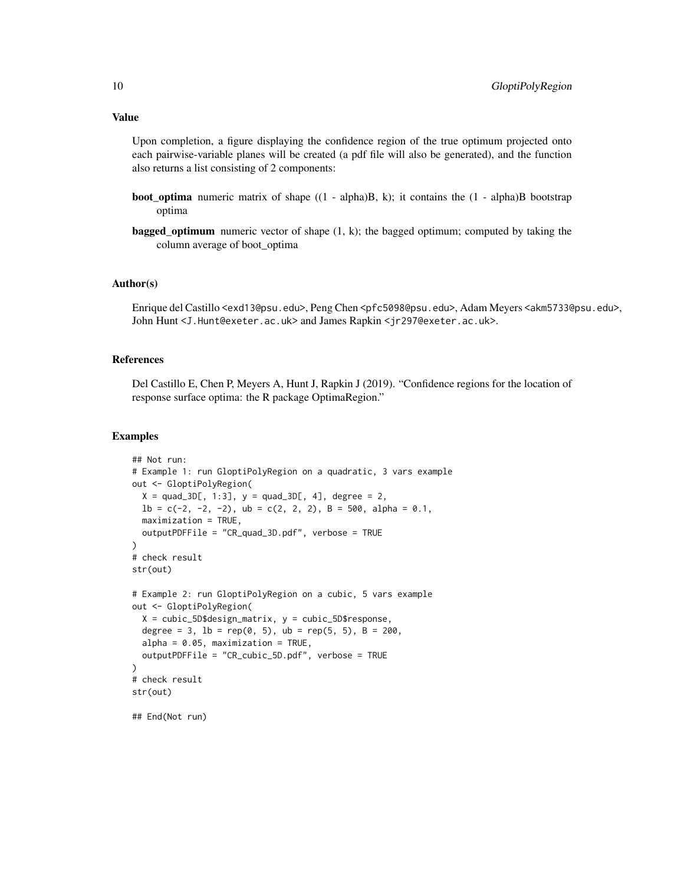Upon completion, a figure displaying the confidence region of the true optimum projected onto each pairwise-variable planes will be created (a pdf file will also be generated), and the function also returns a list consisting of 2 components:

- boot\_optima numeric matrix of shape ((1 alpha)B, k); it contains the (1 alpha)B bootstrap optima
- **bagged\_optimum** numeric vector of shape  $(1, k)$ ; the bagged optimum; computed by taking the column average of boot\_optima

## Author(s)

Enrique del Castillo <exd13@psu.edu>, Peng Chen <pfc5098@psu.edu>, Adam Meyers <akm5733@psu.edu>, John Hunt <J.Hunt@exeter.ac.uk> and James Rapkin <jr297@exeter.ac.uk>.

#### References

Del Castillo E, Chen P, Meyers A, Hunt J, Rapkin J (2019). "Confidence regions for the location of response surface optima: the R package OptimaRegion."

#### Examples

```
## Not run:
# Example 1: run GloptiPolyRegion on a quadratic, 3 vars example
out <- GloptiPolyRegion(
  X = \text{quad\_3D[, 1:3}, y = \text{quad\_3D[, 4}, \text{degree} = 2,1b = c(-2, -2, -2), ub = c(2, 2, 2), B = 500, alpha = 0.1,maximization = TRUE,
  outputPDFFile = "CR_quad_3D.pdf", verbose = TRUE
\mathcal{L}# check result
str(out)
# Example 2: run GloptiPolyRegion on a cubic, 5 vars example
out <- GloptiPolyRegion(
  X = cubic_5D$design_matrix, y = cubic_5D$response,degree = 3, lb = rep(0, 5), ub = rep(5, 5), B = 200,
  alpha = 0.05, maximization = TRUE,
  outputPDFFile = "CR_cubic_5D.pdf", verbose = TRUE
)
# check result
str(out)
## End(Not run)
```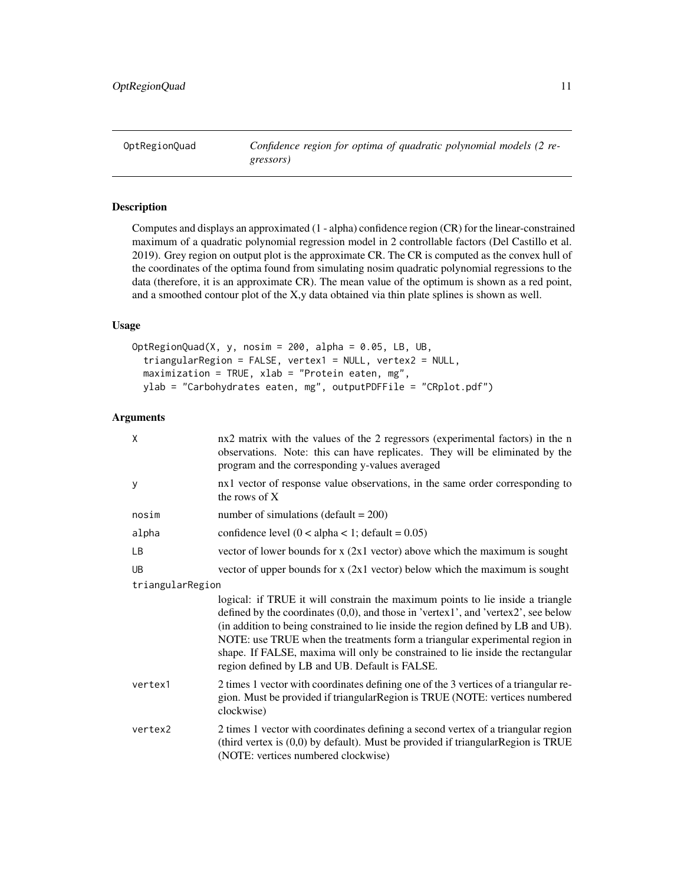## <span id="page-10-0"></span>Description

Computes and displays an approximated (1 - alpha) confidence region (CR) for the linear-constrained maximum of a quadratic polynomial regression model in 2 controllable factors (Del Castillo et al. 2019). Grey region on output plot is the approximate CR. The CR is computed as the convex hull of the coordinates of the optima found from simulating nosim quadratic polynomial regressions to the data (therefore, it is an approximate CR). The mean value of the optimum is shown as a red point, and a smoothed contour plot of the X,y data obtained via thin plate splines is shown as well.

## Usage

```
OptRegionQuad(X, y, nosim = 200, alpha = 0.05, LB, UB,
  triangularRegion = FALSE, vertex1 = NULL, vertex2 = NULL,
 maximization = TRUE, xlab = "Protein eaten, mg",
 ylab = "Carbohydrates eaten, mg", outputPDFFile = "CRplot.pdf")
```
## Arguments

| X                | nx2 matrix with the values of the 2 regressors (experimental factors) in the n<br>observations. Note: this can have replicates. They will be eliminated by the<br>program and the corresponding y-values averaged                                                                                                                                                                                                                                                            |
|------------------|------------------------------------------------------------------------------------------------------------------------------------------------------------------------------------------------------------------------------------------------------------------------------------------------------------------------------------------------------------------------------------------------------------------------------------------------------------------------------|
| y                | nx1 vector of response value observations, in the same order corresponding to<br>the rows of X                                                                                                                                                                                                                                                                                                                                                                               |
| nosim            | number of simulations (default = $200$ )                                                                                                                                                                                                                                                                                                                                                                                                                                     |
| alpha            | confidence level $(0 < alpha < 1$ ; default = 0.05)                                                                                                                                                                                                                                                                                                                                                                                                                          |
| <b>LB</b>        | vector of lower bounds for $x$ (2x1 vector) above which the maximum is sought                                                                                                                                                                                                                                                                                                                                                                                                |
| <b>UB</b>        | vector of upper bounds for $x$ (2x1 vector) below which the maximum is sought                                                                                                                                                                                                                                                                                                                                                                                                |
| triangularRegion |                                                                                                                                                                                                                                                                                                                                                                                                                                                                              |
|                  | logical: if TRUE it will constrain the maximum points to lie inside a triangle<br>defined by the coordinates (0,0), and those in 'vertex1', and 'vertex2', see below<br>(in addition to being constrained to lie inside the region defined by LB and UB).<br>NOTE: use TRUE when the treatments form a triangular experimental region in<br>shape. If FALSE, maxima will only be constrained to lie inside the rectangular<br>region defined by LB and UB. Default is FALSE. |
| vertex1          | 2 times 1 vector with coordinates defining one of the 3 vertices of a triangular re-<br>gion. Must be provided if triangular Region is TRUE (NOTE: vertices numbered<br>clockwise)                                                                                                                                                                                                                                                                                           |
| vertex2          | 2 times 1 vector with coordinates defining a second vertex of a triangular region<br>(third vertex is $(0,0)$ by default). Must be provided if triangular Region is TRUE<br>(NOTE: vertices numbered clockwise)                                                                                                                                                                                                                                                              |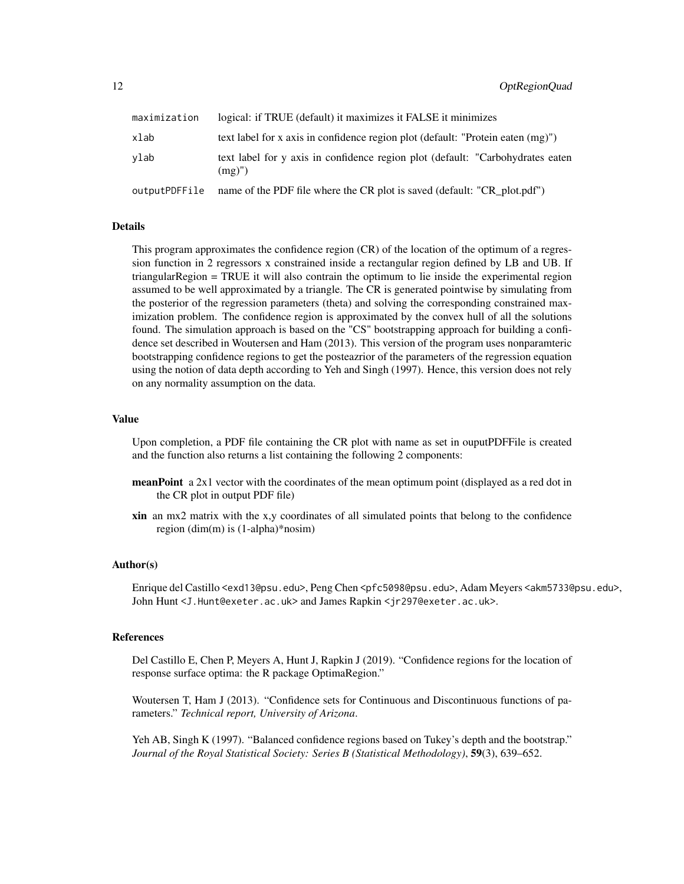| maximization  | logical: if TRUE (default) it maximizes it FALSE it minimizes                                 |
|---------------|-----------------------------------------------------------------------------------------------|
| xlab          | text label for x axis in confidence region plot (default: "Protein eaten (mg)")               |
| vlab          | text label for y axis in confidence region plot (default: "Carbohydrates eaten")<br>$(mg)$ ") |
| outputPDFFile | name of the PDF file where the CR plot is saved (default: "CR_plot.pdf")                      |

## Details

This program approximates the confidence region (CR) of the location of the optimum of a regression function in 2 regressors x constrained inside a rectangular region defined by LB and UB. If triangularRegion = TRUE it will also contrain the optimum to lie inside the experimental region assumed to be well approximated by a triangle. The CR is generated pointwise by simulating from the posterior of the regression parameters (theta) and solving the corresponding constrained maximization problem. The confidence region is approximated by the convex hull of all the solutions found. The simulation approach is based on the "CS" bootstrapping approach for building a confidence set described in Woutersen and Ham (2013). This version of the program uses nonparamteric bootstrapping confidence regions to get the posteazrior of the parameters of the regression equation using the notion of data depth according to Yeh and Singh (1997). Hence, this version does not rely on any normality assumption on the data.

## Value

Upon completion, a PDF file containing the CR plot with name as set in ouputPDFFile is created and the function also returns a list containing the following 2 components:

- **meanPoint** a 2x1 vector with the coordinates of the mean optimum point (displayed as a red dot in the CR plot in output PDF file)
- xin an mx2 matrix with the x,y coordinates of all simulated points that belong to the confidence region (dim(m) is (1-alpha)\*nosim)

### Author(s)

Enrique del Castillo <exd13@psu.edu>, Peng Chen <pfc5098@psu.edu>, Adam Meyers <akm5733@psu.edu>, John Hunt<J.Hunt@exeter.ac.uk> and James Rapkin <jr297@exeter.ac.uk>.

## References

Del Castillo E, Chen P, Meyers A, Hunt J, Rapkin J (2019). "Confidence regions for the location of response surface optima: the R package OptimaRegion."

Woutersen T, Ham J (2013). "Confidence sets for Continuous and Discontinuous functions of parameters." *Technical report, University of Arizona*.

Yeh AB, Singh K (1997). "Balanced confidence regions based on Tukey's depth and the bootstrap." *Journal of the Royal Statistical Society: Series B (Statistical Methodology)*, 59(3), 639–652.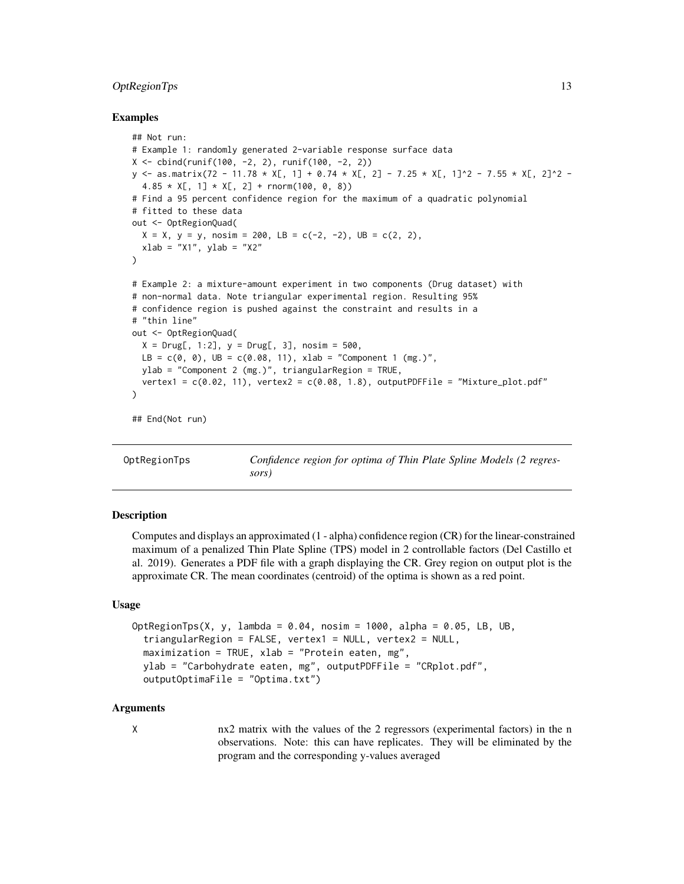## <span id="page-12-0"></span>OptRegionTps 13

## Examples

```
## Not run:
# Example 1: randomly generated 2-variable response surface data
X \le cbind(runif(100, -2, 2), runif(100, -2, 2))
y <- as.matrix(72 - 11.78 * X[, 1] + 0.74 * X[, 2] - 7.25 * X[, 1]^2 - 7.55 * X[, 2]^2 -
  4.85 \times X[, 1] \times X[, 2] + \text{rnorm}(100, 0, 8)# Find a 95 percent confidence region for the maximum of a quadratic polynomial
# fitted to these data
out <- OptRegionQuad(
  X = X, y = y, nosim = 200, LB = c(-2, -2), UB = c(2, 2),
  xlab = "X1", ylab = "X2"
)
# Example 2: a mixture-amount experiment in two components (Drug dataset) with
# non-normal data. Note triangular experimental region. Resulting 95%
# confidence region is pushed against the constraint and results in a
# "thin line"
out <- OptRegionQuad(
  X = Drug[, 1:2], y = Drug[, 3], nosim = 500,LB = c(0, 0), UB = c(0.08, 11), xlab = "Component 1 (mg.)"ylab = "Component 2 (mg.)", triangularRegion = TRUE,
  vertex1 = c(0.02, 11), vertex2 = c(0.08, 1.8), outputPDFFile = "Mixture_plot.pdf"
)
## End(Not run)
```
OptRegionTps *Confidence region for optima of Thin Plate Spline Models (2 regressors)*

## Description

Computes and displays an approximated (1 - alpha) confidence region (CR) for the linear-constrained maximum of a penalized Thin Plate Spline (TPS) model in 2 controllable factors (Del Castillo et al. 2019). Generates a PDF file with a graph displaying the CR. Grey region on output plot is the approximate CR. The mean coordinates (centroid) of the optima is shown as a red point.

#### Usage

```
OptRegionTps(X, y, lambda = 0.04, nosim = 1000, alpha = 0.05, LB, UB,
  triangularRegion = FALSE, vertex1 = NULL, vertex2 = NULL,
  maximization = TRUE, xlab = "Protein eaten, mg",ylab = "Carbohydrate eaten, mg", outputPDFFile = "CRplot.pdf",
  outputOptimaFile = "Optima.txt")
```
## Arguments

X nx2 matrix with the values of the 2 regressors (experimental factors) in the n observations. Note: this can have replicates. They will be eliminated by the program and the corresponding y-values averaged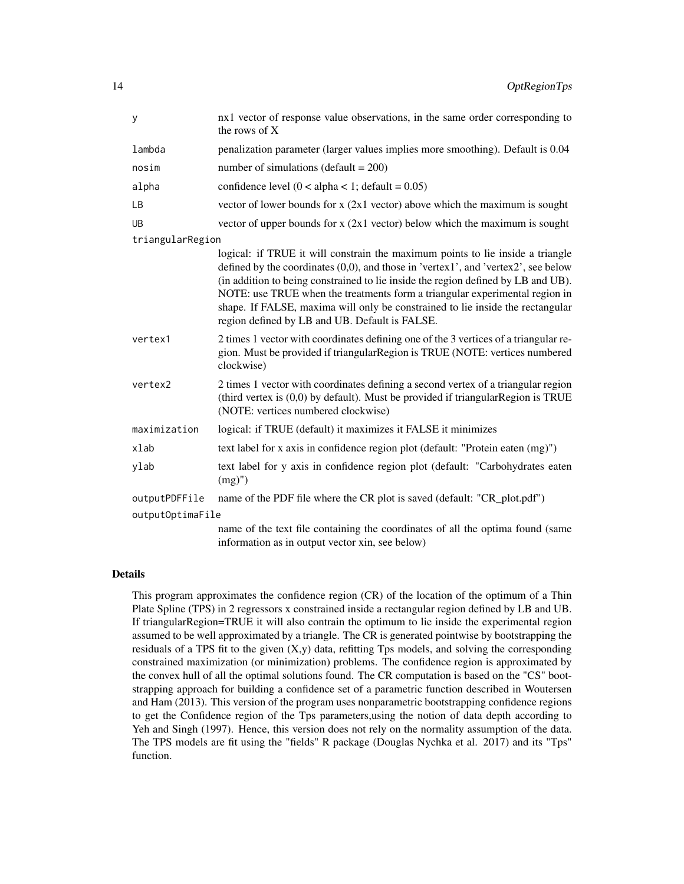| у                | nx1 vector of response value observations, in the same order corresponding to<br>the rows of X                                                                                                                                                                                                                                                                                                                                                                               |  |
|------------------|------------------------------------------------------------------------------------------------------------------------------------------------------------------------------------------------------------------------------------------------------------------------------------------------------------------------------------------------------------------------------------------------------------------------------------------------------------------------------|--|
| lambda           | penalization parameter (larger values implies more smoothing). Default is 0.04                                                                                                                                                                                                                                                                                                                                                                                               |  |
| nosim            | number of simulations (default = $200$ )                                                                                                                                                                                                                                                                                                                                                                                                                                     |  |
| alpha            | confidence level $(0 < alpha < 1$ ; default = 0.05)                                                                                                                                                                                                                                                                                                                                                                                                                          |  |
| LB               | vector of lower bounds for $x$ (2x1 vector) above which the maximum is sought                                                                                                                                                                                                                                                                                                                                                                                                |  |
| <b>UB</b>        | vector of upper bounds for $x$ (2x1 vector) below which the maximum is sought                                                                                                                                                                                                                                                                                                                                                                                                |  |
| triangularRegion |                                                                                                                                                                                                                                                                                                                                                                                                                                                                              |  |
|                  | logical: if TRUE it will constrain the maximum points to lie inside a triangle<br>defined by the coordinates (0,0), and those in 'vertex1', and 'vertex2', see below<br>(in addition to being constrained to lie inside the region defined by LB and UB).<br>NOTE: use TRUE when the treatments form a triangular experimental region in<br>shape. If FALSE, maxima will only be constrained to lie inside the rectangular<br>region defined by LB and UB. Default is FALSE. |  |
| vertex1          | 2 times 1 vector with coordinates defining one of the 3 vertices of a triangular re-<br>gion. Must be provided if triangular Region is TRUE (NOTE: vertices numbered<br>clockwise)                                                                                                                                                                                                                                                                                           |  |
| vertex2          | 2 times 1 vector with coordinates defining a second vertex of a triangular region<br>(third vertex is $(0,0)$ by default). Must be provided if triangular Region is TRUE<br>(NOTE: vertices numbered clockwise)                                                                                                                                                                                                                                                              |  |
| maximization     | logical: if TRUE (default) it maximizes it FALSE it minimizes                                                                                                                                                                                                                                                                                                                                                                                                                |  |
| xlab             | text label for x axis in confidence region plot (default: "Protein eaten (mg)")                                                                                                                                                                                                                                                                                                                                                                                              |  |
| ylab             | text label for y axis in confidence region plot (default: "Carbohydrates eaten<br>$(mg)$ ")                                                                                                                                                                                                                                                                                                                                                                                  |  |
| outputPDFFile    | name of the PDF file where the CR plot is saved (default: "CR_plot.pdf")                                                                                                                                                                                                                                                                                                                                                                                                     |  |
| outputOptimaFile |                                                                                                                                                                                                                                                                                                                                                                                                                                                                              |  |
|                  | name of the text file containing the coordinates of all the optima found (same<br>information as in output vector xin, see below)                                                                                                                                                                                                                                                                                                                                            |  |

## Details

This program approximates the confidence region (CR) of the location of the optimum of a Thin Plate Spline (TPS) in 2 regressors x constrained inside a rectangular region defined by LB and UB. If triangularRegion=TRUE it will also contrain the optimum to lie inside the experimental region assumed to be well approximated by a triangle. The CR is generated pointwise by bootstrapping the residuals of a TPS fit to the given  $(X, y)$  data, refitting Tps models, and solving the corresponding constrained maximization (or minimization) problems. The confidence region is approximated by the convex hull of all the optimal solutions found. The CR computation is based on the "CS" bootstrapping approach for building a confidence set of a parametric function described in Woutersen and Ham (2013). This version of the program uses nonparametric bootstrapping confidence regions to get the Confidence region of the Tps parameters,using the notion of data depth according to Yeh and Singh (1997). Hence, this version does not rely on the normality assumption of the data. The TPS models are fit using the "fields" R package (Douglas Nychka et al. 2017) and its "Tps" function.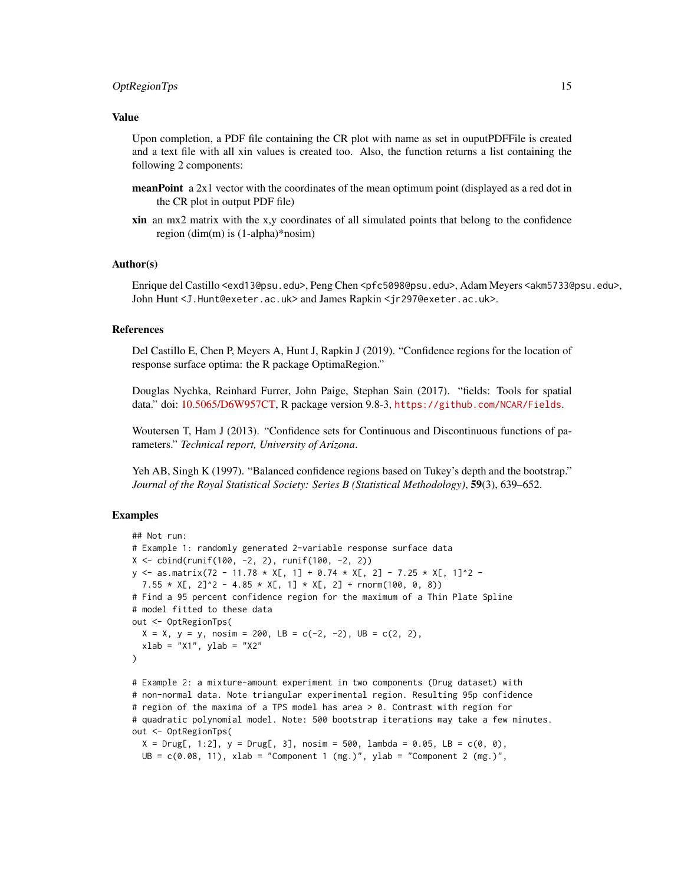#### OptRegionTps 15

#### Value

Upon completion, a PDF file containing the CR plot with name as set in ouputPDFFile is created and a text file with all xin values is created too. Also, the function returns a list containing the following 2 components:

- **meanPoint** a 2x1 vector with the coordinates of the mean optimum point (displayed as a red dot in the CR plot in output PDF file)
- xin an mx2 matrix with the x,y coordinates of all simulated points that belong to the confidence region (dim(m) is (1-alpha)\*nosim)

#### Author(s)

Enrique del Castillo <exd13@psu.edu>, Peng Chen <pfc5098@psu.edu>, Adam Meyers <akm5733@psu.edu>, John Hunt <J.Hunt@exeter.ac.uk> and James Rapkin <jr297@exeter.ac.uk>.

## References

Del Castillo E, Chen P, Meyers A, Hunt J, Rapkin J (2019). "Confidence regions for the location of response surface optima: the R package OptimaRegion."

Douglas Nychka, Reinhard Furrer, John Paige, Stephan Sain (2017). "fields: Tools for spatial data." doi: [10.5065/D6W957CT,](http://doi.org/10.5065/D6W957CT) R package version 9.8-3, <https://github.com/NCAR/Fields>.

Woutersen T, Ham J (2013). "Confidence sets for Continuous and Discontinuous functions of parameters." *Technical report, University of Arizona*.

Yeh AB, Singh K (1997). "Balanced confidence regions based on Tukey's depth and the bootstrap." *Journal of the Royal Statistical Society: Series B (Statistical Methodology)*, 59(3), 639–652.

## Examples

```
## Not run:
# Example 1: randomly generated 2-variable response surface data
X \leftarrow \text{cbind}(\text{runif}(100, -2, 2), \text{runif}(100, -2, 2))y \le - as.matrix(72 - 11.78 * X[, 1] + 0.74 * X[, 2] - 7.25 * X[, 1]^2 -
 7.55 \times X[, 2]^2 - 4.85 \times X[, 1] \times X[, 2] + rnorm(100, 0, 8))
# Find a 95 percent confidence region for the maximum of a Thin Plate Spline
# model fitted to these data
out <- OptRegionTps(
 X = X, y = y, nosim = 200, LB = c(-2, -2), UB = c(2, 2),
 xlab = "X1", ylab = "X2"
)
# Example 2: a mixture-amount experiment in two components (Drug dataset) with
# non-normal data. Note triangular experimental region. Resulting 95p confidence
# region of the maxima of a TPS model has area > 0. Contrast with region for
```
# quadratic polynomial model. Note: 500 bootstrap iterations may take a few minutes. out <- OptRegionTps(

```
X = Drug[, 1:2], y = Drug[, 3], nosim = 500, lambda = 0.05, LB = c(0, 0),
UB = c(0.08, 11), xlab = "Component 1 (mg.)", ylab = "Component 2 (mg.)",
```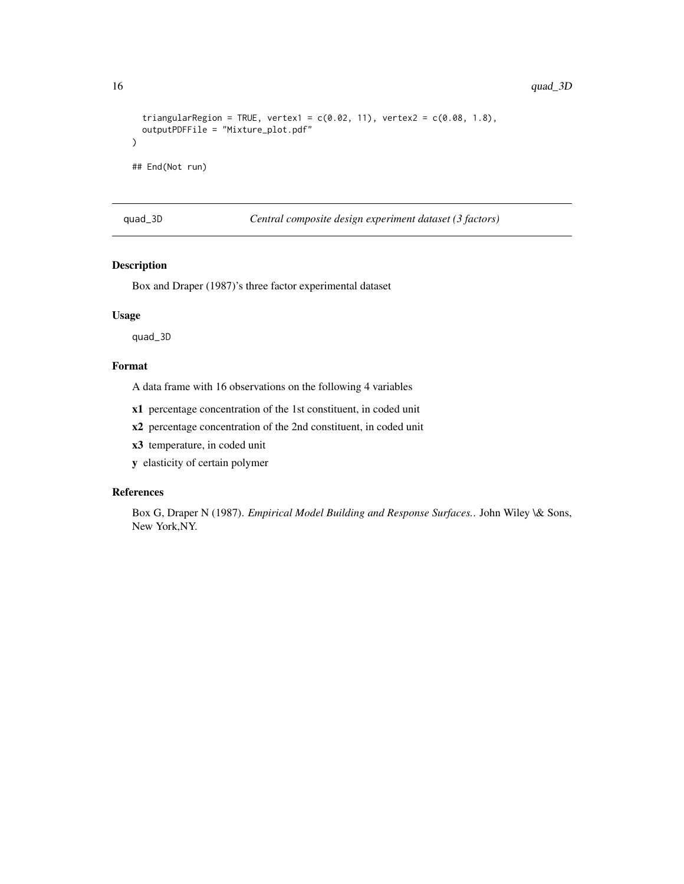```
triangularRegion = TRUE, vertex1 = c(0.02, 11), vertex2 = c(0.08, 1.8),
 outputPDFFile = "Mixture_plot.pdf"
)
## End(Not run)
```
quad\_3D *Central composite design experiment dataset (3 factors)*

## Description

Box and Draper (1987)'s three factor experimental dataset

## Usage

quad\_3D

## Format

A data frame with 16 observations on the following 4 variables

x1 percentage concentration of the 1st constituent, in coded unit

x2 percentage concentration of the 2nd constituent, in coded unit

x3 temperature, in coded unit

y elasticity of certain polymer

## References

Box G, Draper N (1987). *Empirical Model Building and Response Surfaces.*. John Wiley \& Sons, New York,NY.

<span id="page-15-0"></span>